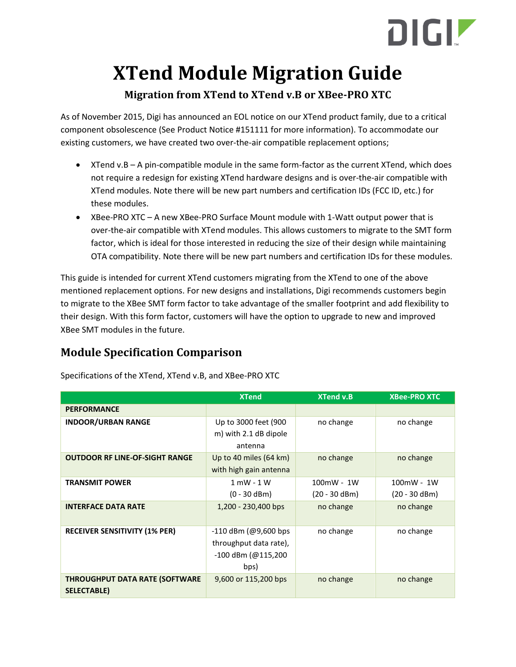# DIGIZ

# **XTend Module Migration Guide**

#### **Migration from XTend to XTend v.B or XBee-PRO XTC**

As of November 2015, Digi has announced an EOL notice on our XTend product family, due to a critical component obsolescence (See Product Notice #151111 for more information). To accommodate our existing customers, we have created two over-the-air compatible replacement options;

- XTend v.B A pin-compatible module in the same form-factor as the current XTend, which does not require a redesign for existing XTend hardware designs and is over-the-air compatible with XTend modules. Note there will be new part numbers and certification IDs (FCC ID, etc.) for these modules.
- XBee-PRO XTC A new XBee-PRO Surface Mount module with 1-Watt output power that is over-the-air compatible with XTend modules. This allows customers to migrate to the SMT form factor, which is ideal for those interested in reducing the size of their design while maintaining OTA compatibility. Note there will be new part numbers and certification IDs for these modules.

This guide is intended for current XTend customers migrating from the XTend to one of the above mentioned replacement options. For new designs and installations, Digi recommends customers begin to migrate to the XBee SMT form factor to take advantage of the smaller footprint and add flexibility to their design. With this form factor, customers will have the option to upgrade to new and improved XBee SMT modules in the future.

# **Module Specification Comparison**

| <b>XTend</b>                                         |                                                                                | <b>XTend v.B</b>              | <b>XBee-PRO XTC</b>           |  |
|------------------------------------------------------|--------------------------------------------------------------------------------|-------------------------------|-------------------------------|--|
| <b>PERFORMANCE</b>                                   |                                                                                |                               |                               |  |
| <b>INDOOR/URBAN RANGE</b>                            | Up to 3000 feet (900<br>m) with 2.1 dB dipole<br>antenna                       | no change                     | no change                     |  |
| <b>OUTDOOR RF LINE-OF-SIGHT RANGE</b>                | Up to 40 miles (64 km)<br>with high gain antenna                               | no change                     | no change                     |  |
| <b>TRANSMIT POWER</b>                                | $1$ mW - $1$ W<br>$(0 - 30$ dBm)                                               | 100mW - 1W<br>$(20 - 30$ dBm) | 100mW - 1W<br>$(20 - 30$ dBm) |  |
| <b>INTERFACE DATA RATE</b>                           | 1,200 - 230,400 bps                                                            | no change                     | no change                     |  |
| <b>RECEIVER SENSITIVITY (1% PER)</b>                 | $-110$ dBm (@9,600 bps<br>throughput data rate),<br>-100 dBm (@115,200<br>bps) | no change                     | no change                     |  |
| <b>THROUGHPUT DATA RATE (SOFTWARE</b><br>SELECTABLE) | 9,600 or 115,200 bps                                                           | no change                     | no change                     |  |

Specifications of the XTend, XTend v.B, and XBee-PRO XTC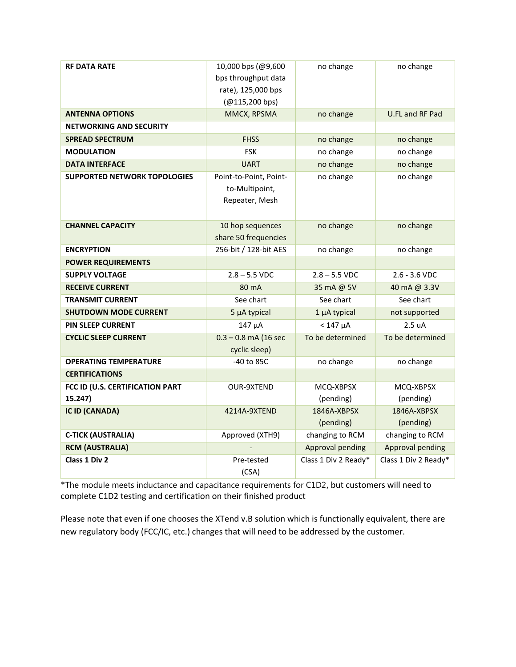| <b>RF DATA RATE</b>                 | 10,000 bps (@9,600     | no change               | no change            |  |
|-------------------------------------|------------------------|-------------------------|----------------------|--|
|                                     | bps throughput data    |                         |                      |  |
|                                     | rate), 125,000 bps     |                         |                      |  |
|                                     | (@115,200 bps)         |                         |                      |  |
| <b>ANTENNA OPTIONS</b>              | MMCX, RPSMA            | no change               | U.FL and RF Pad      |  |
| <b>NETWORKING AND SECURITY</b>      |                        |                         |                      |  |
| <b>SPREAD SPECTRUM</b>              | <b>FHSS</b>            | no change               | no change            |  |
| <b>MODULATION</b>                   | <b>FSK</b>             | no change               | no change            |  |
| <b>DATA INTERFACE</b>               | <b>UART</b>            | no change               | no change            |  |
| <b>SUPPORTED NETWORK TOPOLOGIES</b> | Point-to-Point, Point- | no change               | no change            |  |
|                                     | to-Multipoint,         |                         |                      |  |
|                                     | Repeater, Mesh         |                         |                      |  |
|                                     |                        |                         |                      |  |
| <b>CHANNEL CAPACITY</b>             | 10 hop sequences       | no change               | no change            |  |
|                                     | share 50 frequencies   |                         |                      |  |
| <b>ENCRYPTION</b>                   | 256-bit / 128-bit AES  | no change               | no change            |  |
| <b>POWER REQUIREMENTS</b>           |                        |                         |                      |  |
| <b>SUPPLY VOLTAGE</b>               | $2.8 - 5.5$ VDC        | $2.8 - 5.5$ VDC         | $2.6 - 3.6$ VDC      |  |
| <b>RECEIVE CURRENT</b>              | 80 mA                  | 35 mA @ 5V              | 40 mA @ 3.3V         |  |
| <b>TRANSMIT CURRENT</b>             | See chart              | See chart               | See chart            |  |
| <b>SHUTDOWN MODE CURRENT</b>        | 5 µA typical           | 1 µA typical            | not supported        |  |
| <b>PIN SLEEP CURRENT</b>            | 147 µA                 | $< 147 \mu A$           | 2.5 uA               |  |
| <b>CYCLIC SLEEP CURRENT</b>         | $0.3 - 0.8$ mA (16 sec | To be determined        | To be determined     |  |
|                                     | cyclic sleep)          |                         |                      |  |
| <b>OPERATING TEMPERATURE</b>        | $-40$ to $85C$         | no change               | no change            |  |
| <b>CERTIFICATIONS</b>               |                        |                         |                      |  |
| FCC ID (U.S. CERTIFICATION PART     | <b>OUR-9XTEND</b>      | MCQ-XBPSX               | MCQ-XBPSX            |  |
| 15.247)                             |                        | (pending)               | (pending)            |  |
| <b>IC ID (CANADA)</b>               | 4214A-9XTEND           | 1846A-XBPSX             | 1846A-XBPSX          |  |
|                                     |                        | (pending)               | (pending)            |  |
| <b>C-TICK (AUSTRALIA)</b>           | Approved (XTH9)        | changing to RCM         | changing to RCM      |  |
| <b>RCM (AUSTRALIA)</b>              |                        | <b>Approval pending</b> | Approval pending     |  |
| Class 1 Div 2                       | Pre-tested             | Class 1 Div 2 Ready*    | Class 1 Div 2 Ready* |  |
|                                     | (CSA)                  |                         |                      |  |

\*The module meets inductance and capacitance requirements for C1D2, but customers will need to complete C1D2 testing and certification on their finished product

Please note that even if one chooses the XTend v.B solution which is functionally equivalent, there are new regulatory body (FCC/IC, etc.) changes that will need to be addressed by the customer.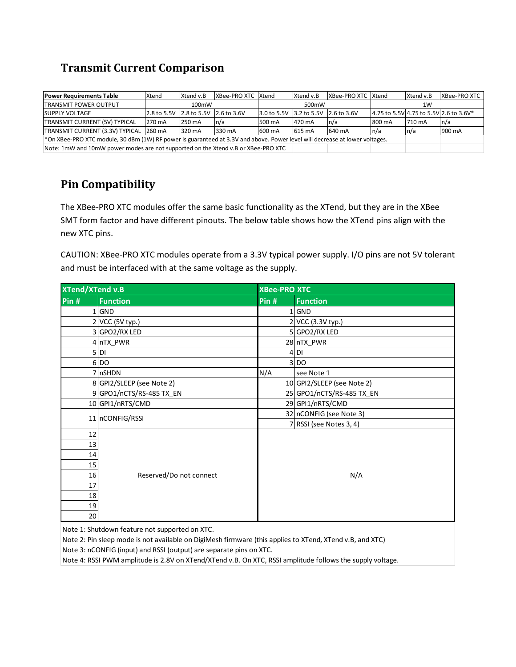#### **Transmit Current Comparison**

| <b>Power Requirements Table</b>                                                                                                | Xtend  | Xtend v.B                           | XBee-PRO XTC Xtend |        | Xtend v.B                           | XBee-PRO XTC Xtend |        | Xtend v.B | XBee-PRO XTC                           |
|--------------------------------------------------------------------------------------------------------------------------------|--------|-------------------------------------|--------------------|--------|-------------------------------------|--------------------|--------|-----------|----------------------------------------|
| <b>TRANSMIT POWER OUTPUT</b>                                                                                                   |        | 100mW                               |                    |        | 500 <sub>m</sub> W                  |                    |        | 1W        |                                        |
| <b>SUPPLY VOLTAGE</b>                                                                                                          |        | 2.8 to 5.5V 2.8 to 5.5V 2.6 to 3.6V |                    |        | 3.0 to 5.5V 3.2 to 5.5V 2.6 to 3.6V |                    |        |           | 4.75 to 5.5V 4.75 to 5.5V 2.6 to 3.6V* |
| TRANSMIT CURRENT (5V) TYPICAL                                                                                                  | 270 mA | 250 mA                              | ln/a               | 500 mA | 470 mA                              | n/a                | 800 mA | 710 mA    | ln/a                                   |
| TRANSMIT CURRENT (3.3V) TYPICAL 260 mA                                                                                         |        | 320 mA                              | 330 mA             | 600 mA | 615 mA                              | 640 mA             | n/a    | n/a       | 900 mA                                 |
| $*$ On XBee-PRO XTC module, 30 dBm (1W) RF power is guaranteed at 3.3V and above. Power level will decrease at lower voltages. |        |                                     |                    |        |                                     |                    |        |           |                                        |
| Note: 1mW and 10mW power modes are not supported on the Xtend v.B or XBee-PRO XTC                                              |        |                                     |                    |        |                                     |                    |        |           |                                        |

### **Pin Compatibility**

The XBee-PRO XTC modules offer the same basic functionality as the XTend, but they are in the XBee SMT form factor and have different pinouts. The below table shows how the XTend pins align with the new XTC pins.

CAUTION: XBee-PRO XTC modules operate from a 3.3V typical power supply. I/O pins are not 5V tolerant and must be interfaced with at the same voltage as the supply.

| <b>XTend/XTend v.B</b> |                           | <b>XBee-PRO XTC</b> |                            |  |  |  |
|------------------------|---------------------------|---------------------|----------------------------|--|--|--|
| Pin #                  | <b>Function</b>           | Pin #               | <b>Function</b>            |  |  |  |
|                        | $1$ GND                   |                     | $1$ GND                    |  |  |  |
|                        | 2 VCC (5V typ.)           |                     | 2 VCC (3.3V typ.)          |  |  |  |
|                        | 3 GPO2/RX LED             |                     | 5 GPO2/RX LED              |  |  |  |
|                        | 4 nTX PWR                 |                     | 28 nTX PWR                 |  |  |  |
|                        | $5$ DI                    |                     | 4 <sub>DI</sub>            |  |  |  |
|                        | 6 DO                      |                     | 3 DO                       |  |  |  |
|                        | 7 nSHDN                   | N/A                 | see Note 1                 |  |  |  |
|                        | 8 GPI2/SLEEP (see Note 2) |                     | 10 GPI2/SLEEP (see Note 2) |  |  |  |
|                        | 9 GPO1/nCTS/RS-485 TX_EN  |                     | 25 GPO1/nCTS/RS-485 TX_EN  |  |  |  |
|                        | 10 GPI1/nRTS/CMD          |                     | 29 GPI1/nRTS/CMD           |  |  |  |
|                        | 11 nCONFIG/RSSI           |                     | 32 nCONFIG (see Note 3)    |  |  |  |
|                        |                           |                     | 7 RSSI (see Notes 3, 4)    |  |  |  |
| 12                     |                           |                     |                            |  |  |  |
| 13                     |                           |                     |                            |  |  |  |
| 14                     |                           |                     |                            |  |  |  |
| 15                     |                           |                     |                            |  |  |  |
| 16                     | Reserved/Do not connect   | N/A                 |                            |  |  |  |
| 17                     |                           |                     |                            |  |  |  |
| 18                     |                           |                     |                            |  |  |  |
| 19                     |                           |                     |                            |  |  |  |
| 20                     |                           |                     |                            |  |  |  |

Note 1: Shutdown feature not supported on XTC.

Note 2: Pin sleep mode is not available on DigiMesh firmware (this applies to XTend, XTend v.B, and XTC)

Note 3: nCONFIG (input) and RSSI (output) are separate pins on XTC.

Note 4: RSSI PWM amplitude is 2.8V on XTend/XTend v.B. On XTC, RSSI amplitude follows the supply voltage.